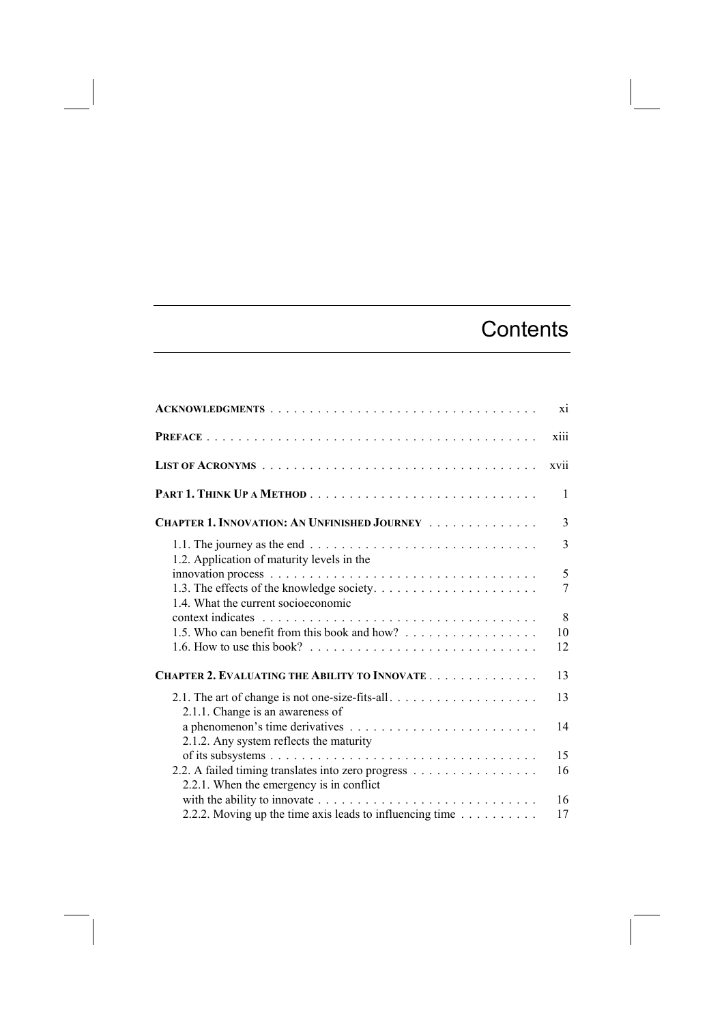## **Contents**

|                                                                                                      | xi   |
|------------------------------------------------------------------------------------------------------|------|
|                                                                                                      | xiii |
|                                                                                                      | xvii |
|                                                                                                      | 1    |
| CHAPTER 1. INNOVATION: AN UNFINISHED JOURNEY                                                         | 3    |
|                                                                                                      | 3    |
| 1.2. Application of maturity levels in the                                                           | 5    |
|                                                                                                      | 7    |
| 1.4. What the current socioeconomic                                                                  | 8    |
| 1.5. Who can benefit from this book and how?                                                         | 10   |
| 1.6. How to use this book? $\ldots \ldots \ldots \ldots \ldots \ldots \ldots \ldots \ldots$          | 12   |
| CHAPTER 2. EVALUATING THE ABILITY TO INNOVATE                                                        | 13   |
| 2.1. The art of change is not one-size-fits-all<br>2.1.1. Change is an awareness of                  | 13   |
| 2.1.2. Any system reflects the maturity                                                              | 14   |
|                                                                                                      | 15   |
| 2.2. A failed timing translates into zero progress<br>2.2.1. When the emergency is in conflict       | 16   |
| with the ability to innovate $\ldots \ldots \ldots \ldots \ldots \ldots \ldots \ldots \ldots \ldots$ | 16   |
| 2.2.2. Moving up the time axis leads to influencing time                                             | 17   |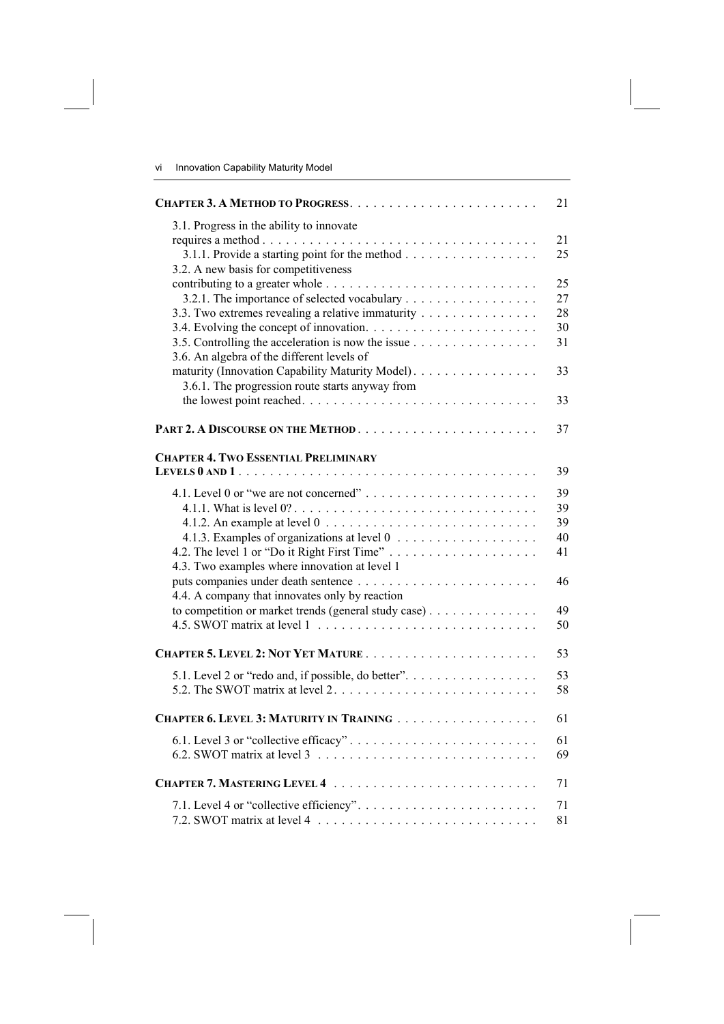|                                                                                                                                                                                                       | 21                         |
|-------------------------------------------------------------------------------------------------------------------------------------------------------------------------------------------------------|----------------------------|
| 3.1. Progress in the ability to innovate<br>3.1.1. Provide a starting point for the method<br>3.2. A new basis for competitiveness                                                                    | 21<br>25                   |
| 3.2.1. The importance of selected vocabulary<br>3.3. Two extremes revealing a relative immaturity<br>3.5. Controlling the acceleration is now the issue<br>3.6. An algebra of the different levels of | 25<br>27<br>28<br>30<br>31 |
| maturity (Innovation Capability Maturity Model).<br>3.6.1. The progression route starts anyway from                                                                                                   | 33                         |
|                                                                                                                                                                                                       | 33                         |
|                                                                                                                                                                                                       | 37                         |
| <b>CHAPTER 4. TWO ESSENTIAL PRELIMINARY</b>                                                                                                                                                           | 39                         |
| 4.1.2. An example at level $0 \ldots \ldots \ldots \ldots \ldots \ldots \ldots$                                                                                                                       | 39<br>39<br>39<br>40<br>41 |
| 4.3. Two examples where innovation at level 1<br>4.4. A company that innovates only by reaction                                                                                                       | 46                         |
| to competition or market trends (general study case)                                                                                                                                                  | 49<br>50                   |
|                                                                                                                                                                                                       | 53                         |
| 5.1. Level 2 or "redo and, if possible, do better".                                                                                                                                                   | 53<br>58                   |
| CHAPTER 6. LEVEL 3: MATURITY IN TRAINING                                                                                                                                                              | 61                         |
| 6.1. Level 3 or "collective efficacy"                                                                                                                                                                 | 61<br>69                   |
|                                                                                                                                                                                                       | 71                         |
| 7.2. SWOT matrix at level 4 $\ldots \ldots \ldots \ldots \ldots \ldots \ldots \ldots$                                                                                                                 | 71<br>81                   |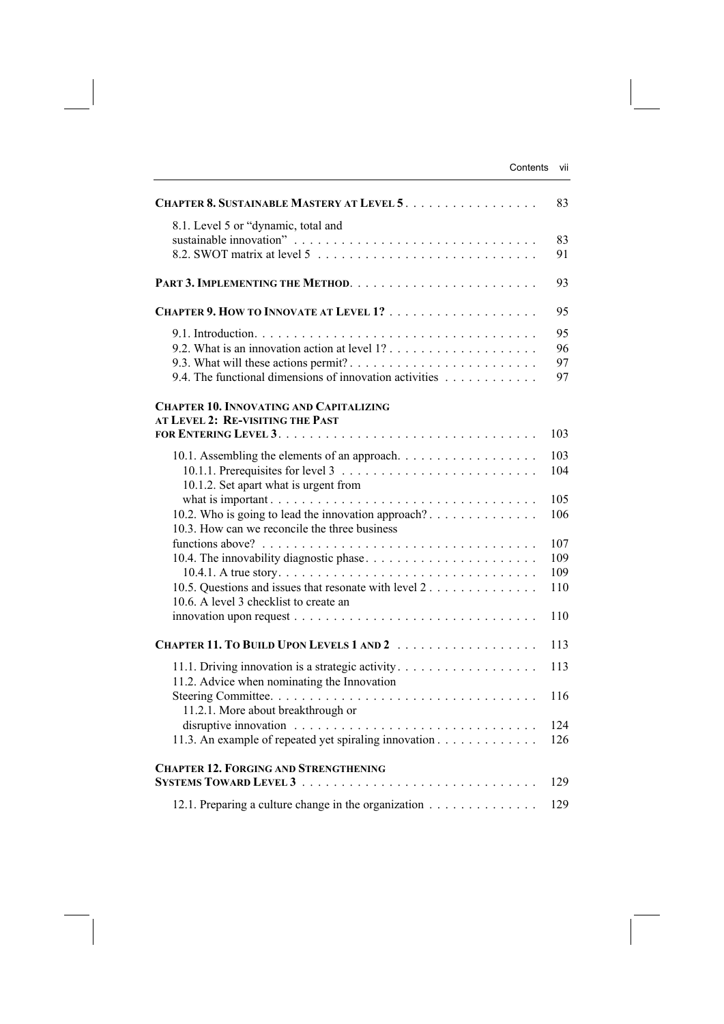| CHAPTER 8. SUSTAINABLE MASTERY AT LEVEL 5.                                                                                                                                                           | 83                              |
|------------------------------------------------------------------------------------------------------------------------------------------------------------------------------------------------------|---------------------------------|
| 8.1. Level 5 or "dynamic, total and                                                                                                                                                                  | 83<br>91                        |
|                                                                                                                                                                                                      | 93                              |
|                                                                                                                                                                                                      | 95                              |
| 9.4. The functional dimensions of innovation activities                                                                                                                                              | 95<br>96<br>97<br>97            |
| <b>CHAPTER 10. INNOVATING AND CAPITALIZING</b><br>AT LEVEL 2: RE-VISITING THE PAST                                                                                                                   | 103                             |
| 10.1. Assembling the elements of an approach.                                                                                                                                                        | 103<br>104                      |
| 10.1.2. Set apart what is urgent from<br>10.2. Who is going to lead the innovation approach?<br>10.3. How can we reconcile the three business                                                        | 105<br>106                      |
| 10.5. Questions and issues that resonate with level 2<br>10.6. A level 3 checklist to create an<br>innovation upon request $\dots \dots \dots \dots \dots \dots \dots \dots \dots \dots \dots \dots$ | 107<br>109<br>109<br>110<br>110 |
|                                                                                                                                                                                                      | 113                             |
| 11.2. Advice when nominating the Innovation                                                                                                                                                          | 113                             |
| 11.2.1. More about breakthrough or<br>11.3. An example of repeated yet spiraling innovation                                                                                                          | 116<br>124<br>126               |
| <b>CHAPTER 12. FORGING AND STRENGTHENING</b>                                                                                                                                                         | 129                             |
| 12.1. Preparing a culture change in the organization                                                                                                                                                 | 129                             |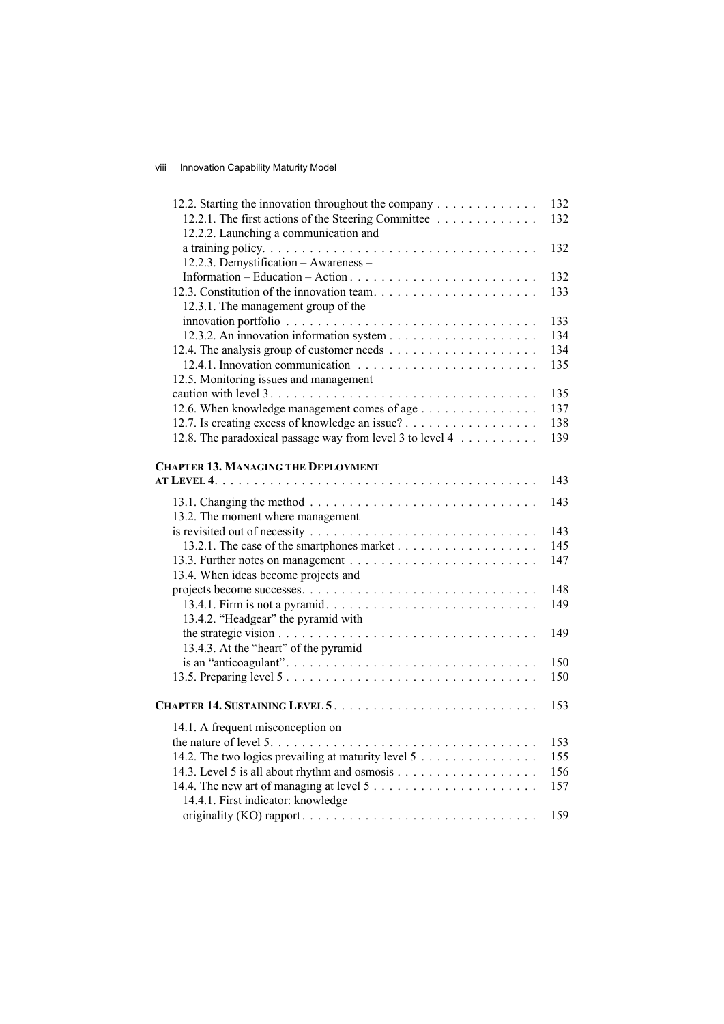| 12.2. Starting the innovation throughout the company<br>12.2.1. The first actions of the Steering Committee<br>12.2.2. Launching a communication and         | 132<br>132               |
|--------------------------------------------------------------------------------------------------------------------------------------------------------------|--------------------------|
| 12.2.3. Demystification - Awareness -                                                                                                                        | 132                      |
| 12.3.1. The management group of the                                                                                                                          | 132<br>133               |
| 12.5. Monitoring issues and management                                                                                                                       | 133<br>134<br>134<br>135 |
| 12.6. When knowledge management comes of age<br>12.7. Is creating excess of knowledge an issue?<br>12.8. The paradoxical passage way from level 3 to level 4 | 135<br>137<br>138<br>139 |
| <b>CHAPTER 13. MANAGING THE DEPLOYMENT</b>                                                                                                                   | 143                      |
| 13.2. The moment where management                                                                                                                            | 143                      |
|                                                                                                                                                              | 143<br>145<br>147        |
| 13.4. When ideas become projects and<br>13.4.2. "Headgear" the pyramid with                                                                                  | 148<br>149               |
| 13.4.3. At the "heart" of the pyramid                                                                                                                        | 149                      |
|                                                                                                                                                              | 150<br>150               |
|                                                                                                                                                              | 153                      |
| 14.1. A frequent misconception on<br>14.2. The two logics prevailing at maturity level 5                                                                     | 153<br>155<br>156<br>157 |
| 14.4.1. First indicator: knowledge                                                                                                                           | 159                      |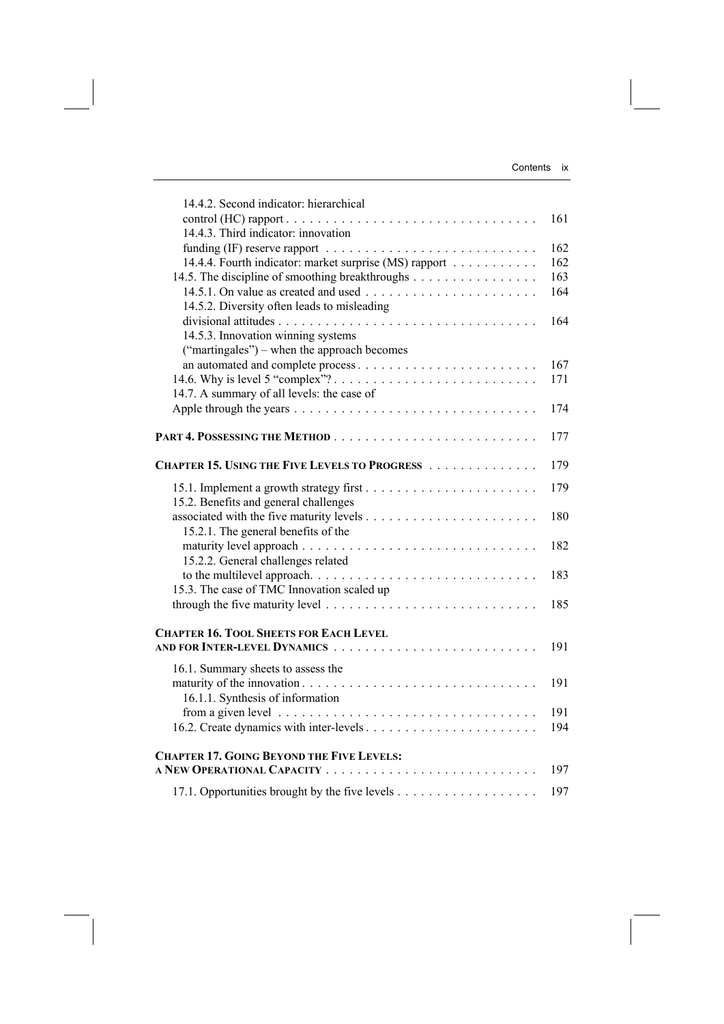| 14.4.2. Second indicator: hierarchical                                                        |     |
|-----------------------------------------------------------------------------------------------|-----|
|                                                                                               | 161 |
| 14.4.3. Third indicator: innovation                                                           |     |
|                                                                                               | 162 |
| 14.4.4. Fourth indicator: market surprise (MS) rapport                                        | 162 |
| 14.5. The discipline of smoothing breakthroughs                                               | 163 |
|                                                                                               | 164 |
| 14.5.2. Diversity often leads to misleading                                                   |     |
|                                                                                               | 164 |
| 14.5.3. Innovation winning systems                                                            |     |
| ("martingales") – when the approach becomes                                                   |     |
|                                                                                               | 167 |
|                                                                                               | 171 |
| 14.7. A summary of all levels: the case of                                                    |     |
|                                                                                               | 174 |
|                                                                                               |     |
|                                                                                               | 177 |
| <b>CHAPTER 15. USING THE FIVE LEVELS TO PROGRESS </b>                                         | 179 |
|                                                                                               |     |
|                                                                                               | 179 |
| 15.2. Benefits and general challenges                                                         |     |
|                                                                                               | 180 |
| 15.2.1. The general benefits of the                                                           |     |
|                                                                                               | 182 |
| 15.2.2. General challenges related                                                            |     |
|                                                                                               | 183 |
| 15.3. The case of TMC Innovation scaled up                                                    |     |
| through the five maturity level $\dots \dots \dots \dots \dots \dots \dots \dots \dots \dots$ | 185 |
|                                                                                               |     |
| <b>CHAPTER 16. TOOL SHEETS FOR EACH LEVEL</b>                                                 |     |
| AND FOR INTER-LEVEL DYNAMICS                                                                  | 191 |
| 16.1. Summary sheets to assess the                                                            |     |
|                                                                                               | 191 |
| 16.1.1. Synthesis of information                                                              |     |
|                                                                                               | 191 |
|                                                                                               | 194 |
|                                                                                               |     |
| <b>CHAPTER 17. GOING BEYOND THE FIVE LEVELS:</b>                                              |     |
|                                                                                               | 197 |
|                                                                                               | 197 |